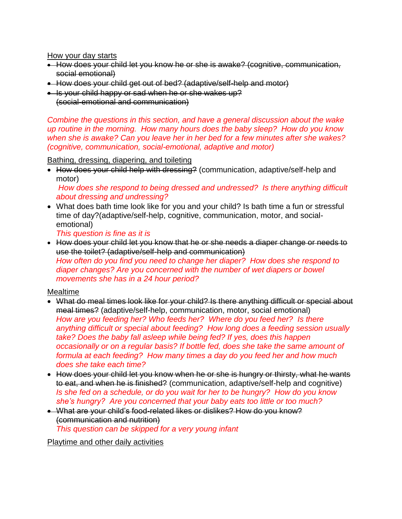How your day starts

- How does your child let you know he or she is awake? (cognitive, communication, social emotional)
- How does your child get out of bed? (adaptive/self-help and motor)
- Is your child happy or sad when he or she wakes up? (social-emotional and communication)

*Combine the questions in this section, and have a general discussion about the wake up routine in the morning. How many hours does the baby sleep? How do you know when she is awake? Can you leave her in her bed for a few minutes after she wakes? (cognitive, communication, social-emotional, adaptive and motor)*

Bathing, dressing, diapering, and toileting

• How does your child help with dressing? (communication, adaptive/self-help and motor)

*How does she respond to being dressed and undressed? Is there anything difficult about dressing and undressing?*

 What does bath time look like for you and your child? Is bath time a fun or stressful time of day?(adaptive/self-help, cognitive, communication, motor, and socialemotional)

*This question is fine as it is*

 How does your child let you know that he or she needs a diaper change or needs to use the toilet? (adaptive/self-help and communication) *How often do you find you need to change her diaper? How does she respond to diaper changes? Are you concerned with the number of wet diapers or bowel movements she has in a 24 hour period?*

Mealtime

- What do meal times look like for your child? Is there anything difficult or special about meal times? (adaptive/self-help, communication, motor, social emotional) *How are you feeding her? Who feeds her? Where do you feed her? Is there anything difficult or special about feeding? How long does a feeding session usually take? Does the baby fall asleep while being fed? If yes, does this happen occasionally or on a regular basis? If bottle fed, does she take the same amount of formula at each feeding? How many times a day do you feed her and how much does she take each time?*
- How does your child let you know when he or she is hungry or thirsty, what he wants to eat, and when he is finished? (communication, adaptive/self-help and cognitive) *Is she fed on a schedule, or do you wait for her to be hungry? How do you know she's hungry? Are you concerned that your baby eats too little or too much?*
- What are your child's food-related likes or dislikes? How do you know? (communication and nutrition) *This question can be skipped for a very young infant*

Playtime and other daily activities